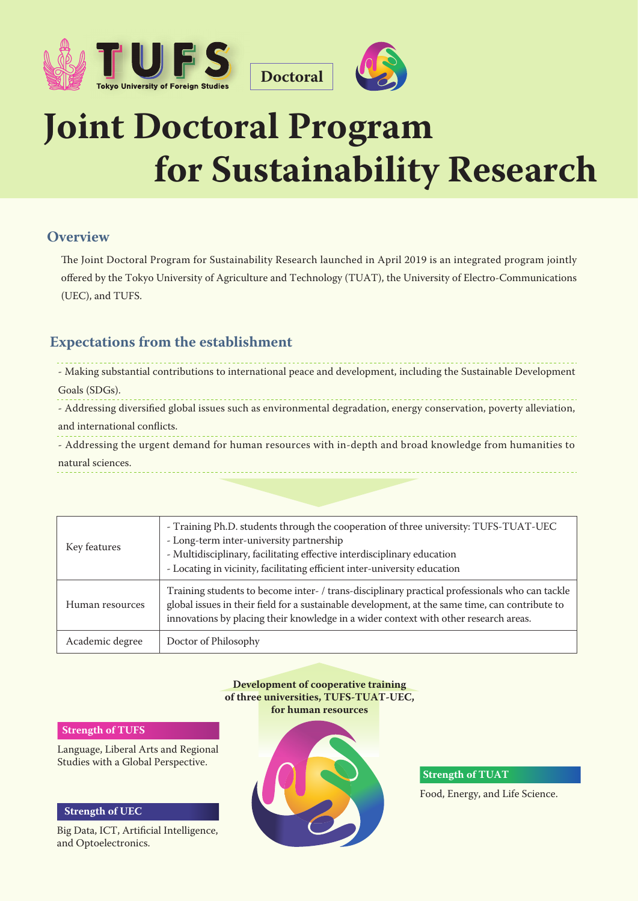



# **Joint Doctoral Program for Sustainability Research**

**Doctoral**

## **Overview**

The Joint Doctoral Program for Sustainability Research launched in April 2019 is an integrated program jointly offered by the Tokyo University of Agriculture and Technology (TUAT), the University of Electro-Communications (UEC), and TUFS.

## **Expectations from the establishment**

| - Making substantial contributions to international peace and development, including the Sustainable Development    |
|---------------------------------------------------------------------------------------------------------------------|
| Goals (SDGs).                                                                                                       |
| - Addressing diversified global issues such as environmental degradation, energy conservation, poverty alleviation, |
| and international conflicts.                                                                                        |
| - Addressing the urgent demand for human resources with in-depth and broad knowledge from humanities to             |
| natural sciences.                                                                                                   |

| Key features    | - Training Ph.D. students through the cooperation of three university: TUFS-TUAT-UEC<br>- Long-term inter-university partnership<br>- Multidisciplinary, facilitating effective interdisciplinary education<br>- Locating in vicinity, facilitating efficient inter-university education  |
|-----------------|-------------------------------------------------------------------------------------------------------------------------------------------------------------------------------------------------------------------------------------------------------------------------------------------|
| Human resources | Training students to become inter- / trans-disciplinary practical professionals who can tackle<br>global issues in their field for a sustainable development, at the same time, can contribute to<br>innovations by placing their knowledge in a wider context with other research areas. |
| Academic degree | Doctor of Philosophy                                                                                                                                                                                                                                                                      |

**Development of cooperative training of three universities, TUFS-TUAT-UEC, for human resources**

#### **Strength of TUFS**

Language, Liberal Arts and Regional Studies with a Global Perspective.

#### **Strength of UEC**

Big Data, ICT, Artificial Intelligence, and Optoelectronics.



**Strength of TUAT**

Food, Energy, and Life Science.